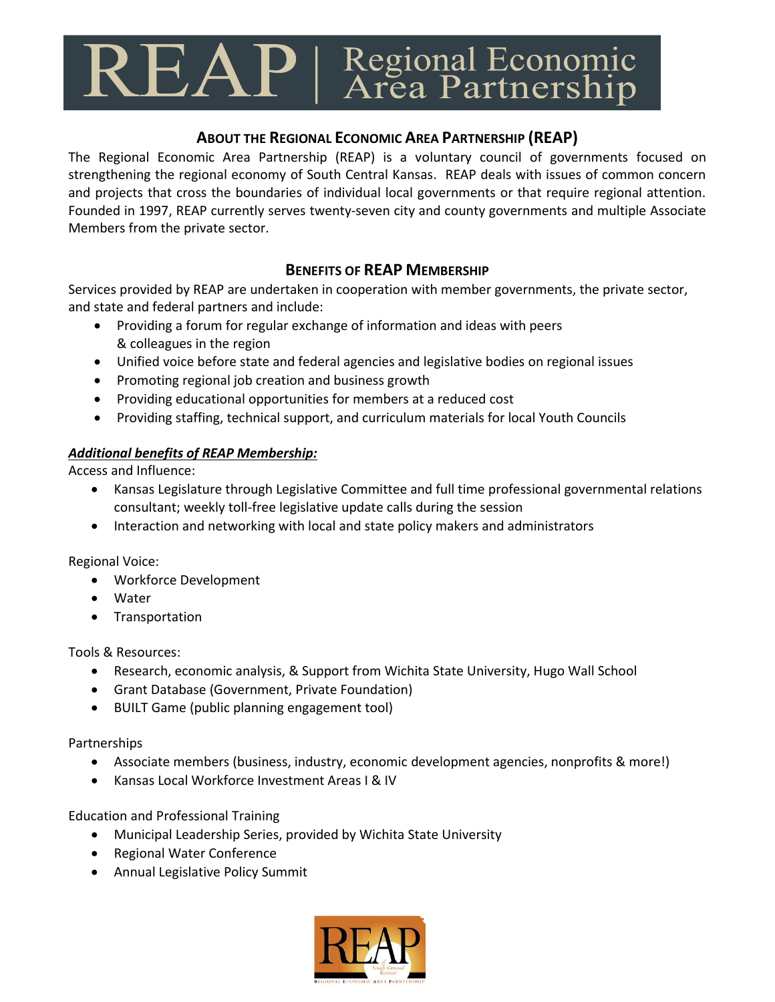## $\text{REAP}$  | Regional Economic

## **ABOUT THE REGIONAL ECONOMIC AREA PARTNERSHIP (REAP)**

The Regional Economic Area Partnership (REAP) is a voluntary council of governments focused on strengthening the regional economy of South Central Kansas. REAP deals with issues of common concern and projects that cross the boundaries of individual local governments or that require regional attention. Founded in 1997, REAP currently serves twenty-seven city and county governments and multiple Associate Members from the private sector.

## **BENEFITS OF REAP MEMBERSHIP**

Services provided by REAP are undertaken in cooperation with member governments, the private sector, and state and federal partners and include:

- Providing a forum for regular exchange of information and ideas with peers & colleagues in the region
- Unified voice before state and federal agencies and legislative bodies on regional issues
- Promoting regional job creation and business growth
- Providing educational opportunities for members at a reduced cost
- Providing staffing, technical support, and curriculum materials for local Youth Councils

## *Additional benefits of REAP Membership:*

Access and Influence:

- Kansas Legislature through Legislative Committee and full time professional governmental relations consultant; weekly toll-free legislative update calls during the session
- Interaction and networking with local and state policy makers and administrators

Regional Voice:

- Workforce Development
- Water
- Transportation

Tools & Resources:

- Research, economic analysis, & Support from Wichita State University, Hugo Wall School
- Grant Database (Government, Private Foundation)
- BUILT Game (public planning engagement tool)

Partnerships

- Associate members (business, industry, economic development agencies, nonprofits & more!)
- Kansas Local Workforce Investment Areas I & IV

Education and Professional Training

- Municipal Leadership Series, provided by Wichita State University
- Regional Water Conference
- Annual Legislative Policy Summit

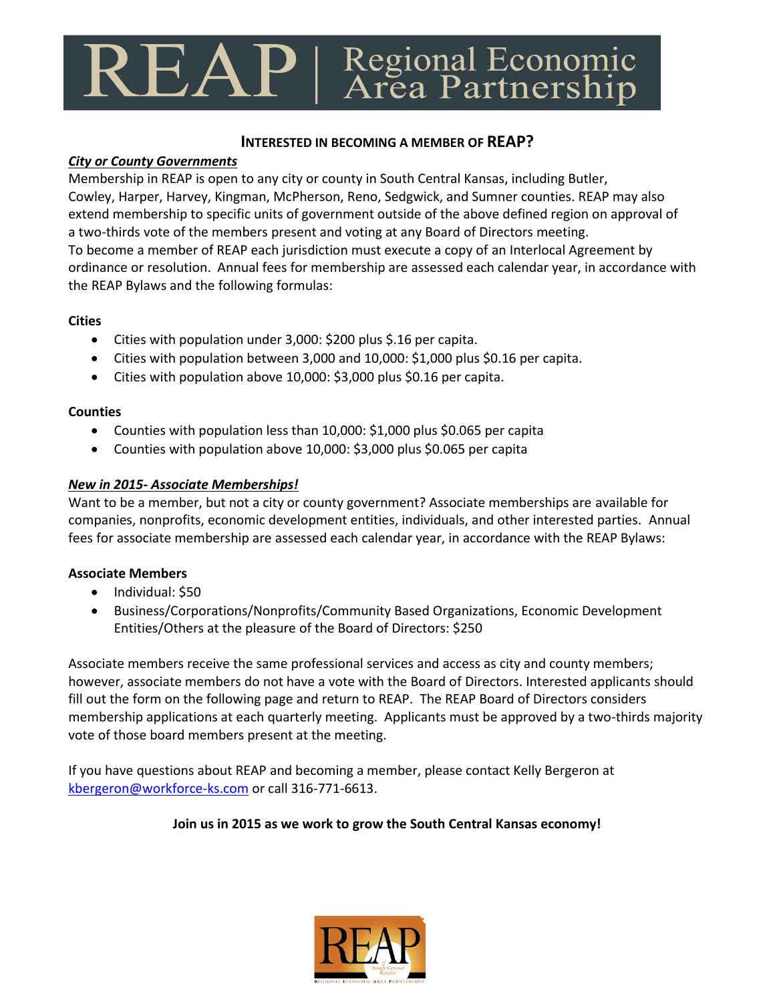# $\text{REAP}$  | Regional Economic

#### **INTERESTED IN BECOMING A MEMBER OF REAP?**

#### *City or County Governments*

Membership in REAP is open to any city or county in South Central Kansas, including Butler, Cowley, Harper, Harvey, Kingman, McPherson, Reno, Sedgwick, and Sumner counties. REAP may also extend membership to specific units of government outside of the above defined region on approval of a two-thirds vote of the members present and voting at any Board of Directors meeting. To become a member of REAP each jurisdiction must execute a copy of an Interlocal Agreement by ordinance or resolution. Annual fees for membership are assessed each calendar year, in accordance with the REAP Bylaws and the following formulas:

#### **Cities**

- Cities with population under 3,000: \$200 plus \$.16 per capita.
- Cities with population between 3,000 and 10,000: \$1,000 plus \$0.16 per capita.
- Cities with population above 10,000: \$3,000 plus \$0.16 per capita.

#### **Counties**

- Counties with population less than 10,000: \$1,000 plus \$0.065 per capita
- Counties with population above 10,000: \$3,000 plus \$0.065 per capita

#### *New in 2015- Associate Memberships!*

Want to be a member, but not a city or county government? Associate memberships are available for companies, nonprofits, economic development entities, individuals, and other interested parties. Annual fees for associate membership are assessed each calendar year, in accordance with the REAP Bylaws:

#### **Associate Members**

- Individual: \$50
- Business/Corporations/Nonprofits/Community Based Organizations, Economic Development Entities/Others at the pleasure of the Board of Directors: \$250

Associate members receive the same professional services and access as city and county members; however, associate members do not have a vote with the Board of Directors. Interested applicants should fill out the form on the following page and return to REAP. The REAP Board of Directors considers membership applications at each quarterly meeting. Applicants must be approved by a two-thirds majority vote of those board members present at the meeting.

If you have questions about REAP and becoming a member, please contact Kelly Bergeron at kbergeron@workforce-ks.com or call 316-771-6613.

#### **Join us in 2015 as we work to grow the South Central Kansas economy!**